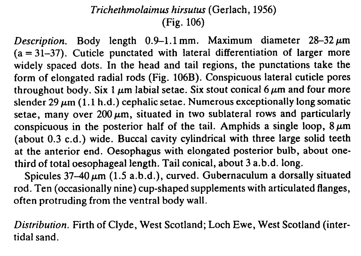## Trichethmolaimus hirsutus (Gerlach, 1956) (Fig. 106)

Description. Body length  $0.9-1.1$  mm. Maximum diameter  $28-32 \mu m$  $(a = 31-37)$ . Cuticle punctated with lateral differentiation of larger more widely spaced dots. In the head and tail regions, the punctations take the form of elongated radial rods (Fig. 106B). Conspicuous lateral cuticle pores throughout body. Six 1  $\mu$ m labial setae. Six stout conical 6  $\mu$ m and four more slender 29  $\mu$ m (1.1 h.d.) cephalic setae. Numerous exceptionally long somatic setae, many over  $200 \mu m$ , situated in two sublateral rows and particularly conspicuous in the posterior half of the tail. Amphids a single loop,  $8 \mu m$ (about 0.3 c.d.) wide. Buccal cavity cylindrical with three large solid teeth at the anterior end. Oesophagus with elongated posterior bulb, about onethird of total oesophageal length. Tail conical, about 3 a.b.d. long.

Spicules  $37-40 \mu m$  (1.5 a.b.d.), curved. Gubernaculum a dorsally situated rod. Ten (occasionally nine) cup-shaped supplements with articulated flanges, often protruding from the ventral body wall.

Distribution. Firth of Clyde, West Scotland; Loch Ewe, West Scotland (intertidal sand.